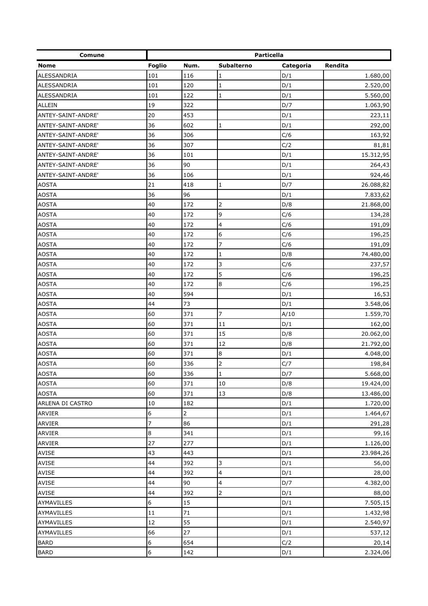| Comune             | Particella       |                |                |           |           |  |
|--------------------|------------------|----------------|----------------|-----------|-----------|--|
| <b>Nome</b>        | <b>Foglio</b>    | Num.           | Subalterno     | Categoria | Rendita   |  |
| ALESSANDRIA        | 101              | 116            | 1              | D/1       | 1.680,00  |  |
| ALESSANDRIA        | 101              | 120            | $\mathbf 1$    | D/1       | 2.520,00  |  |
| ALESSANDRIA        | 101              | 122            | $\mathbf{1}$   | D/1       | 5.560,00  |  |
| <b>ALLEIN</b>      | 19               | 322            |                | D/7       | 1.063,90  |  |
| ANTEY-SAINT-ANDRE' | 20               | 453            |                | D/1       | 223,11    |  |
| ANTEY-SAINT-ANDRE' | 36               | 602            | $\mathbf{1}$   | D/1       | 292,00    |  |
| ANTEY-SAINT-ANDRE' | 36               | 306            |                | C/6       | 163,92    |  |
| ANTEY-SAINT-ANDRE' | 36               | 307            |                | C/2       | 81,81     |  |
| ANTEY-SAINT-ANDRE' | 36               | 101            |                | D/1       | 15.312,95 |  |
| ANTEY-SAINT-ANDRE' | 36               | 90             |                | D/1       | 264,43    |  |
| ANTEY-SAINT-ANDRE' | 36               | 106            |                | D/1       | 924,46    |  |
| <b>AOSTA</b>       | 21               | 418            | $\mathbf{1}$   | D/7       | 26.088,82 |  |
| <b>AOSTA</b>       | 36               | 96             |                | D/1       | 7.833,62  |  |
| <b>AOSTA</b>       | 40               | 172            | 2              | D/8       | 21.868,00 |  |
| <b>AOSTA</b>       | 40               | 172            | 9              | C/6       | 134,28    |  |
| <b>AOSTA</b>       | 40               | 172            | 4              | C/6       | 191,09    |  |
| <b>AOSTA</b>       | 40               | 172            | 6              | C/6       | 196,25    |  |
| <b>AOSTA</b>       | 40               | 172            | 7              | C/6       | 191,09    |  |
| <b>AOSTA</b>       | 40               | 172            | $\mathbf{1}$   | D/8       | 74.480,00 |  |
| <b>AOSTA</b>       | 40               | 172            | $\overline{3}$ | C/6       | 237,57    |  |
| <b>AOSTA</b>       | 40               | 172            | 5              | C/6       | 196,25    |  |
| <b>AOSTA</b>       | 40               | 172            | $\bf 8$        | C/6       | 196,25    |  |
| <b>AOSTA</b>       | 40               | 594            |                | D/1       | 16,53     |  |
| <b>AOSTA</b>       | 44               | 73             |                | D/1       | 3.548,06  |  |
| <b>AOSTA</b>       | 60               | 371            | 7              | A/10      | 1.559,70  |  |
| <b>AOSTA</b>       | 60               | 371            | 11             | D/1       | 162,00    |  |
| <b>AOSTA</b>       | 60               | 371            | 15             | D/8       | 20.062,00 |  |
| <b>AOSTA</b>       | 60               | 371            | 12             | D/8       | 21.792,00 |  |
| <b>AOSTA</b>       | 60               | 371            | $\bf 8$        | D/1       | 4.048,00  |  |
| <b>AOSTA</b>       | 60               | 336            | $\overline{2}$ | C/7       | 198,84    |  |
| <b>AOSTA</b>       | 60               | 336            | $\mathbf{1}$   | D/7       | 5.668,00  |  |
| <b>AOSTA</b>       | 60               | 371            | 10             | D/8       | 19.424,00 |  |
| <b>AOSTA</b>       | 60               | 371            | 13             | D/8       | 13.486,00 |  |
| ARLENA DI CASTRO   | 10               | 182            |                | D/1       | 1.720,00  |  |
| <b>ARVIER</b>      | 6                | $\overline{2}$ |                | D/1       | 1.464,67  |  |
| ARVIER             | 7                | 86             |                | D/1       | 291,28    |  |
| <b>ARVIER</b>      | $\bf8$           | 341            |                | D/1       | 99,16     |  |
| <b>ARVIER</b>      | 27               | 277            |                | D/1       | 1.126,00  |  |
| <b>AVISE</b>       | 43               | 443            |                | D/1       | 23.984,26 |  |
| AVISE              | 44               | 392            | 3              | D/1       | 56,00     |  |
| AVISE              | 44               | 392            | 4              | D/1       | 28,00     |  |
| <b>AVISE</b>       | 44               | 90             | 4              | D/7       | 4.382,00  |  |
| AVISE              | 44               | 392            | $\overline{2}$ | D/1       | 88,00     |  |
| AYMAVILLES         | 6                | 15             |                | D/1       | 7.505,15  |  |
| AYMAVILLES         | 11               | $71\,$         |                | D/1       | 1.432,98  |  |
| AYMAVILLES         | 12               | 55             |                | D/1       | 2.540,97  |  |
| AYMAVILLES         | 66               | 27             |                | D/1       | 537,12    |  |
| <b>BARD</b>        | 6                | 654            |                | C/2       | 20,14     |  |
| <b>BARD</b>        | $\boldsymbol{6}$ | 142            |                | D/1       | 2.324,06  |  |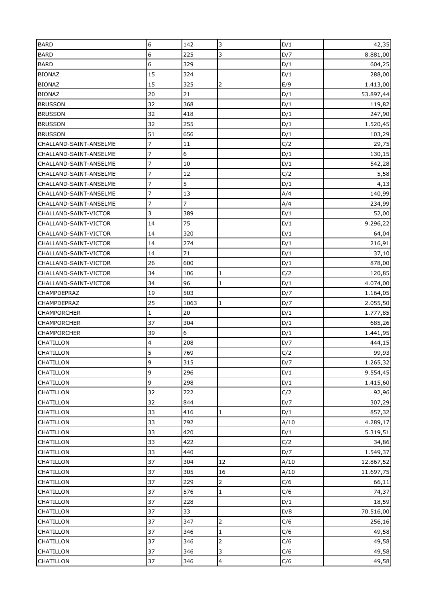| <b>BARD</b>                   | 6              | 142        | 3                       | D/1  | 42,35     |
|-------------------------------|----------------|------------|-------------------------|------|-----------|
| <b>BARD</b>                   | 6              | 225        | 3                       | D/7  | 8.881,00  |
| <b>BARD</b>                   | 6              | 329        |                         | D/1  | 604,25    |
| <b>BIONAZ</b>                 | 15             | 324        |                         | D/1  | 288,00    |
| <b>BIONAZ</b>                 | 15             | 325        | $\overline{2}$          | E/9  | 1.413,00  |
| <b>BIONAZ</b>                 | 20             | 21         |                         | D/1  | 53.897,44 |
| <b>BRUSSON</b>                | 32             | 368        |                         | D/1  | 119,82    |
| <b>BRUSSON</b>                | 32             | 418        |                         | D/1  | 247,90    |
| <b>BRUSSON</b>                | 32             | 255        |                         | D/1  | 1.520,45  |
| <b>BRUSSON</b>                | 51             | 656        |                         | D/1  | 103,29    |
| CHALLAND-SAINT-ANSELME        | 7              | 11         |                         | C/2  | 29,75     |
| CHALLAND-SAINT-ANSELME        | 7              | 6          |                         | D/1  | 130,15    |
| CHALLAND-SAINT-ANSELME        | 7              | 10         |                         | D/1  | 542,28    |
| CHALLAND-SAINT-ANSELME        | 7              | 12         |                         | C/2  | 5,58      |
| CHALLAND-SAINT-ANSELME        | 7              | 5          |                         | D/1  | 4,13      |
| CHALLAND-SAINT-ANSELME        | 7              | 13         |                         | A/4  | 140,99    |
| CHALLAND-SAINT-ANSELME        | $\overline{7}$ | 7          |                         | A/4  | 234,99    |
| CHALLAND-SAINT-VICTOR         | 3              | 389        |                         | D/1  | 52,00     |
| CHALLAND-SAINT-VICTOR         | 14             | 75         |                         | D/1  | 9.296,22  |
| CHALLAND-SAINT-VICTOR         | 14             | 320        |                         | D/1  | 64,04     |
| CHALLAND-SAINT-VICTOR         | 14             | 274        |                         | D/1  | 216,91    |
| CHALLAND-SAINT-VICTOR         | 14             | 71         |                         | D/1  | 37,10     |
| CHALLAND-SAINT-VICTOR         | 26             | 600        |                         | D/1  | 878,00    |
| CHALLAND-SAINT-VICTOR         | 34             | 106        | 1                       | C/2  | 120,85    |
| CHALLAND-SAINT-VICTOR         | 34             | 96         | $\mathbf{1}$            | D/1  | 4.074,00  |
| CHAMPDEPRAZ                   | 19             | 503        |                         | D/7  | 1.164,05  |
| <b>CHAMPDEPRAZ</b>            | 25             | 1063       | 1                       | D/7  | 2.055,50  |
| <b>CHAMPORCHER</b>            | $\mathbf{1}$   | 20         |                         | D/1  | 1.777,85  |
| <b>CHAMPORCHER</b>            | 37             | 304        |                         | D/1  | 685,26    |
| <b>CHAMPORCHER</b>            | 39             | 6          |                         | D/1  | 1.441,95  |
| <b>CHATILLON</b>              | 4              | 208        |                         | D/7  | 444,15    |
| <b>CHATILLON</b>              | 5              | 769        |                         | C/2  | 99,93     |
| <b>CHATILLON</b>              | 9              | 315        |                         | D/7  | 1.265,32  |
| <b>CHATILLON</b>              | 9              | 296        |                         | D/1  | 9.554,45  |
| CHATILLON                     | 9              | 298        |                         | D/1  | 1.415,60  |
| <b>CHATILLON</b>              | 32             | 722        |                         | C/2  | 92,96     |
|                               |                | 844        |                         | D/7  |           |
| <b>CHATILLON</b>              | 32             |            |                         |      | 307,29    |
| CHATILLON<br><b>CHATILLON</b> | 33<br>33       | 416<br>792 | $\mathbf{1}$            | D/1  | 857,32    |
|                               |                |            |                         | A/10 | 4.289,17  |
| <b>CHATILLON</b>              | 33             | 420        |                         | D/1  | 5.319,51  |
| CHATILLON                     | 33             | 422        |                         | C/2  | 34,86     |
| CHATILLON                     | 33             | 440        |                         | D/7  | 1.549,37  |
| <b>CHATILLON</b>              | 37             | 304        | 12                      | A/10 | 12.867,52 |
| <b>CHATILLON</b>              | 37             | 305        | 16                      | A/10 | 11.697,75 |
| CHATILLON                     | 37             | 229        | $\overline{2}$          | C/6  | 66,11     |
| CHATILLON                     | 37             | 576        | $\mathbf{1}$            | C/6  | 74,37     |
| <b>CHATILLON</b>              | 37             | 228        |                         | D/1  | 18,59     |
| CHATILLON                     | 37             | 33         |                         | D/8  | 70.516,00 |
| <b>CHATILLON</b>              | 37             | 347        | $\overline{2}$          | C/6  | 256,16    |
| <b>CHATILLON</b>              | 37             | 346        | $\mathbf 1$             | C/6  | 49,58     |
| CHATILLON                     | 37             | 346        | $\overline{2}$          | C/6  | 49,58     |
| CHATILLON                     | 37             | 346        | 3                       | C/6  | 49,58     |
| CHATILLON                     | 37             | 346        | $\overline{\mathbf{4}}$ | C/6  | 49,58     |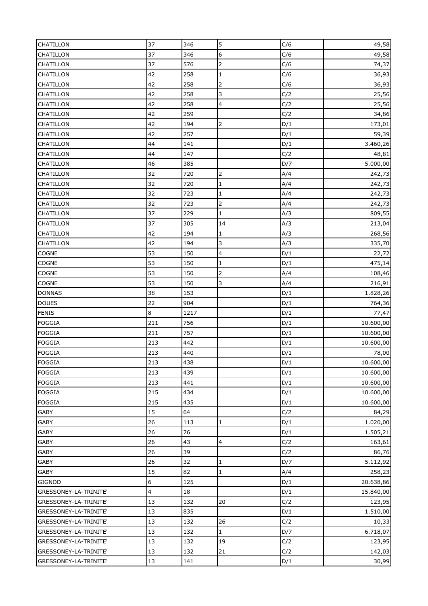| 37<br>346<br>C/6<br>6<br>49,58<br>CHATILLON<br>37<br>576<br>$\overline{2}$<br>C/6<br>74,37<br><b>CHATILLON</b><br>42<br>258<br>CHATILLON<br>C/6<br>1<br>36,93<br>258<br>$\overline{2}$<br>42<br>C/6<br>36,93<br>CHATILLON<br>42<br>258<br>3<br>C/2<br>25,56<br><b>CHATILLON</b><br>42<br>258<br>4<br>C/2<br>25,56<br><b>CHATILLON</b><br>42<br>259<br><b>CHATILLON</b><br>C/2<br>34,86<br>42<br>194<br>$\overline{2}$<br>D/1<br>173,01<br><b>CHATILLON</b><br>257<br>42<br>D/1<br>59,39<br><b>CHATILLON</b><br>44<br>141<br>CHATILLON<br>D/1<br>3.460,26<br>147<br>44<br>C/2<br><b>CHATILLON</b><br>48,81<br>46<br>385<br>5.000,00<br>D/7<br><b>CHATILLON</b><br>32<br>720<br>CHATILLON<br>A/4<br>242,73<br>720<br>A/4<br>32<br>242,73<br><b>CHATILLON</b><br>1<br>32<br>723<br>$\mathbf{1}$<br>A/4<br>242,73<br><b>CHATILLON</b><br>32<br>$\overline{2}$<br>723<br>A/4<br>242,73<br><b>CHATILLON</b><br>37<br>229<br>$\mathbf 1$<br>CHATILLON<br>A/3<br>809,55<br>37<br>305<br>14<br>A/3<br><b>CHATILLON</b><br>213,04<br>42<br>194<br>A/3<br>CHATILLON<br>$\mathbf{1}$<br>268,56<br>42<br>194<br>3<br>CHATILLON<br>335,70<br>A/3<br>53<br>$\overline{4}$<br>150<br>22,72<br>COGNE<br>D/1<br>53<br>150<br>COGNE<br>$\mathbf{1}$<br>D/1<br>475,14<br>53<br>150<br>$\overline{2}$<br>COGNE<br>A/4<br>108,46<br><b>COGNE</b><br>53<br>150<br>3<br>A/4<br>216,91<br>153<br>38<br><b>DONNAS</b><br>D/1<br>1.828,26<br>22<br><b>DOUES</b><br>904<br>D/1<br>764,36<br>8<br>1217<br><b>FENIS</b><br>D/1<br>77,47<br>211<br>756<br><b>FOGGIA</b><br>D/1<br>10.600,00<br><b>FOGGIA</b><br>211<br>757<br>D/1<br>10.600,00<br>213<br>442<br><b>FOGGIA</b><br>D/1<br>10.600,00<br>213<br>440<br>D/1<br>78,00<br><b>FOGGIA</b><br><b>FOGGIA</b><br>D/1<br>213<br>438<br>10.600,00<br>213<br><b>FOGGIA</b><br>439<br>D/1<br>10.600,00<br><b>FOGGIA</b><br>213<br>441<br>D/1<br>10.600,00<br>215<br>434<br><b>FOGGIA</b><br>D/1<br>10.600,00<br><b>FOGGIA</b><br>215<br>435<br>D/1<br>10.600,00<br>64<br>15<br><b>GABY</b><br>C/2<br>84,29<br>26<br>113<br><b>GABY</b><br>D/1<br>1.020,00<br>$\mathbf{1}$<br>76<br>GABY<br>26<br>D/1<br>1.505,21<br>26<br>43<br><b>GABY</b><br>$\overline{4}$<br>C/2<br>163,61<br>39<br>26<br>C/2<br><b>GABY</b><br>86,76<br>32<br>26<br>D/7<br><b>GABY</b><br>$\mathbf{1}$<br>5.112,92<br>15<br>82<br><b>GABY</b><br>A/4<br>258,23<br>$\mathbf{1}$<br>$\boldsymbol{6}$<br>125<br><b>GIGNOD</b><br>D/1<br>20.638,86<br>4<br>18<br>D/1<br>15.840,00<br>GRESSONEY-LA-TRINITE'<br>GRESSONEY-LA-TRINITE'<br>13<br>132<br>20<br>C/2<br>123,95<br>13<br>835<br>GRESSONEY-LA-TRINITE'<br>D/1<br>1.510,00<br>132<br>26<br>GRESSONEY-LA-TRINITE'<br>13<br>C/2<br>10,33<br>13<br>132<br>$\mathbf 1$<br>D/7<br>6.718,07<br>GRESSONEY-LA-TRINITE'<br>13<br>132<br>19<br>C/2<br>GRESSONEY-LA-TRINITE'<br>123,95<br>13<br>132<br>21<br>C/2<br>GRESSONEY-LA-TRINITE'<br>142,03<br>13<br>GRESSONEY-LA-TRINITE'<br>141<br>D/1<br>30,99 | CHATILLON | 37 | 346 | 5 | C/6 | 49,58 |
|----------------------------------------------------------------------------------------------------------------------------------------------------------------------------------------------------------------------------------------------------------------------------------------------------------------------------------------------------------------------------------------------------------------------------------------------------------------------------------------------------------------------------------------------------------------------------------------------------------------------------------------------------------------------------------------------------------------------------------------------------------------------------------------------------------------------------------------------------------------------------------------------------------------------------------------------------------------------------------------------------------------------------------------------------------------------------------------------------------------------------------------------------------------------------------------------------------------------------------------------------------------------------------------------------------------------------------------------------------------------------------------------------------------------------------------------------------------------------------------------------------------------------------------------------------------------------------------------------------------------------------------------------------------------------------------------------------------------------------------------------------------------------------------------------------------------------------------------------------------------------------------------------------------------------------------------------------------------------------------------------------------------------------------------------------------------------------------------------------------------------------------------------------------------------------------------------------------------------------------------------------------------------------------------------------------------------------------------------------------------------------------------------------------------------------------------------------------------------------------------------------------------------------------------------------------------------------------------------------------------------------------------------------------------------------------------------------------------------------------------------------------------------------------------------------------------------------------------------------------------------------------------------------------------------------------|-----------|----|-----|---|-----|-------|
|                                                                                                                                                                                                                                                                                                                                                                                                                                                                                                                                                                                                                                                                                                                                                                                                                                                                                                                                                                                                                                                                                                                                                                                                                                                                                                                                                                                                                                                                                                                                                                                                                                                                                                                                                                                                                                                                                                                                                                                                                                                                                                                                                                                                                                                                                                                                                                                                                                                                                                                                                                                                                                                                                                                                                                                                                                                                                                                                        |           |    |     |   |     |       |
|                                                                                                                                                                                                                                                                                                                                                                                                                                                                                                                                                                                                                                                                                                                                                                                                                                                                                                                                                                                                                                                                                                                                                                                                                                                                                                                                                                                                                                                                                                                                                                                                                                                                                                                                                                                                                                                                                                                                                                                                                                                                                                                                                                                                                                                                                                                                                                                                                                                                                                                                                                                                                                                                                                                                                                                                                                                                                                                                        |           |    |     |   |     |       |
|                                                                                                                                                                                                                                                                                                                                                                                                                                                                                                                                                                                                                                                                                                                                                                                                                                                                                                                                                                                                                                                                                                                                                                                                                                                                                                                                                                                                                                                                                                                                                                                                                                                                                                                                                                                                                                                                                                                                                                                                                                                                                                                                                                                                                                                                                                                                                                                                                                                                                                                                                                                                                                                                                                                                                                                                                                                                                                                                        |           |    |     |   |     |       |
|                                                                                                                                                                                                                                                                                                                                                                                                                                                                                                                                                                                                                                                                                                                                                                                                                                                                                                                                                                                                                                                                                                                                                                                                                                                                                                                                                                                                                                                                                                                                                                                                                                                                                                                                                                                                                                                                                                                                                                                                                                                                                                                                                                                                                                                                                                                                                                                                                                                                                                                                                                                                                                                                                                                                                                                                                                                                                                                                        |           |    |     |   |     |       |
|                                                                                                                                                                                                                                                                                                                                                                                                                                                                                                                                                                                                                                                                                                                                                                                                                                                                                                                                                                                                                                                                                                                                                                                                                                                                                                                                                                                                                                                                                                                                                                                                                                                                                                                                                                                                                                                                                                                                                                                                                                                                                                                                                                                                                                                                                                                                                                                                                                                                                                                                                                                                                                                                                                                                                                                                                                                                                                                                        |           |    |     |   |     |       |
|                                                                                                                                                                                                                                                                                                                                                                                                                                                                                                                                                                                                                                                                                                                                                                                                                                                                                                                                                                                                                                                                                                                                                                                                                                                                                                                                                                                                                                                                                                                                                                                                                                                                                                                                                                                                                                                                                                                                                                                                                                                                                                                                                                                                                                                                                                                                                                                                                                                                                                                                                                                                                                                                                                                                                                                                                                                                                                                                        |           |    |     |   |     |       |
|                                                                                                                                                                                                                                                                                                                                                                                                                                                                                                                                                                                                                                                                                                                                                                                                                                                                                                                                                                                                                                                                                                                                                                                                                                                                                                                                                                                                                                                                                                                                                                                                                                                                                                                                                                                                                                                                                                                                                                                                                                                                                                                                                                                                                                                                                                                                                                                                                                                                                                                                                                                                                                                                                                                                                                                                                                                                                                                                        |           |    |     |   |     |       |
|                                                                                                                                                                                                                                                                                                                                                                                                                                                                                                                                                                                                                                                                                                                                                                                                                                                                                                                                                                                                                                                                                                                                                                                                                                                                                                                                                                                                                                                                                                                                                                                                                                                                                                                                                                                                                                                                                                                                                                                                                                                                                                                                                                                                                                                                                                                                                                                                                                                                                                                                                                                                                                                                                                                                                                                                                                                                                                                                        |           |    |     |   |     |       |
|                                                                                                                                                                                                                                                                                                                                                                                                                                                                                                                                                                                                                                                                                                                                                                                                                                                                                                                                                                                                                                                                                                                                                                                                                                                                                                                                                                                                                                                                                                                                                                                                                                                                                                                                                                                                                                                                                                                                                                                                                                                                                                                                                                                                                                                                                                                                                                                                                                                                                                                                                                                                                                                                                                                                                                                                                                                                                                                                        |           |    |     |   |     |       |
|                                                                                                                                                                                                                                                                                                                                                                                                                                                                                                                                                                                                                                                                                                                                                                                                                                                                                                                                                                                                                                                                                                                                                                                                                                                                                                                                                                                                                                                                                                                                                                                                                                                                                                                                                                                                                                                                                                                                                                                                                                                                                                                                                                                                                                                                                                                                                                                                                                                                                                                                                                                                                                                                                                                                                                                                                                                                                                                                        |           |    |     |   |     |       |
|                                                                                                                                                                                                                                                                                                                                                                                                                                                                                                                                                                                                                                                                                                                                                                                                                                                                                                                                                                                                                                                                                                                                                                                                                                                                                                                                                                                                                                                                                                                                                                                                                                                                                                                                                                                                                                                                                                                                                                                                                                                                                                                                                                                                                                                                                                                                                                                                                                                                                                                                                                                                                                                                                                                                                                                                                                                                                                                                        |           |    |     |   |     |       |
|                                                                                                                                                                                                                                                                                                                                                                                                                                                                                                                                                                                                                                                                                                                                                                                                                                                                                                                                                                                                                                                                                                                                                                                                                                                                                                                                                                                                                                                                                                                                                                                                                                                                                                                                                                                                                                                                                                                                                                                                                                                                                                                                                                                                                                                                                                                                                                                                                                                                                                                                                                                                                                                                                                                                                                                                                                                                                                                                        |           |    |     |   |     |       |
|                                                                                                                                                                                                                                                                                                                                                                                                                                                                                                                                                                                                                                                                                                                                                                                                                                                                                                                                                                                                                                                                                                                                                                                                                                                                                                                                                                                                                                                                                                                                                                                                                                                                                                                                                                                                                                                                                                                                                                                                                                                                                                                                                                                                                                                                                                                                                                                                                                                                                                                                                                                                                                                                                                                                                                                                                                                                                                                                        |           |    |     |   |     |       |
|                                                                                                                                                                                                                                                                                                                                                                                                                                                                                                                                                                                                                                                                                                                                                                                                                                                                                                                                                                                                                                                                                                                                                                                                                                                                                                                                                                                                                                                                                                                                                                                                                                                                                                                                                                                                                                                                                                                                                                                                                                                                                                                                                                                                                                                                                                                                                                                                                                                                                                                                                                                                                                                                                                                                                                                                                                                                                                                                        |           |    |     |   |     |       |
|                                                                                                                                                                                                                                                                                                                                                                                                                                                                                                                                                                                                                                                                                                                                                                                                                                                                                                                                                                                                                                                                                                                                                                                                                                                                                                                                                                                                                                                                                                                                                                                                                                                                                                                                                                                                                                                                                                                                                                                                                                                                                                                                                                                                                                                                                                                                                                                                                                                                                                                                                                                                                                                                                                                                                                                                                                                                                                                                        |           |    |     |   |     |       |
|                                                                                                                                                                                                                                                                                                                                                                                                                                                                                                                                                                                                                                                                                                                                                                                                                                                                                                                                                                                                                                                                                                                                                                                                                                                                                                                                                                                                                                                                                                                                                                                                                                                                                                                                                                                                                                                                                                                                                                                                                                                                                                                                                                                                                                                                                                                                                                                                                                                                                                                                                                                                                                                                                                                                                                                                                                                                                                                                        |           |    |     |   |     |       |
|                                                                                                                                                                                                                                                                                                                                                                                                                                                                                                                                                                                                                                                                                                                                                                                                                                                                                                                                                                                                                                                                                                                                                                                                                                                                                                                                                                                                                                                                                                                                                                                                                                                                                                                                                                                                                                                                                                                                                                                                                                                                                                                                                                                                                                                                                                                                                                                                                                                                                                                                                                                                                                                                                                                                                                                                                                                                                                                                        |           |    |     |   |     |       |
|                                                                                                                                                                                                                                                                                                                                                                                                                                                                                                                                                                                                                                                                                                                                                                                                                                                                                                                                                                                                                                                                                                                                                                                                                                                                                                                                                                                                                                                                                                                                                                                                                                                                                                                                                                                                                                                                                                                                                                                                                                                                                                                                                                                                                                                                                                                                                                                                                                                                                                                                                                                                                                                                                                                                                                                                                                                                                                                                        |           |    |     |   |     |       |
|                                                                                                                                                                                                                                                                                                                                                                                                                                                                                                                                                                                                                                                                                                                                                                                                                                                                                                                                                                                                                                                                                                                                                                                                                                                                                                                                                                                                                                                                                                                                                                                                                                                                                                                                                                                                                                                                                                                                                                                                                                                                                                                                                                                                                                                                                                                                                                                                                                                                                                                                                                                                                                                                                                                                                                                                                                                                                                                                        |           |    |     |   |     |       |
|                                                                                                                                                                                                                                                                                                                                                                                                                                                                                                                                                                                                                                                                                                                                                                                                                                                                                                                                                                                                                                                                                                                                                                                                                                                                                                                                                                                                                                                                                                                                                                                                                                                                                                                                                                                                                                                                                                                                                                                                                                                                                                                                                                                                                                                                                                                                                                                                                                                                                                                                                                                                                                                                                                                                                                                                                                                                                                                                        |           |    |     |   |     |       |
|                                                                                                                                                                                                                                                                                                                                                                                                                                                                                                                                                                                                                                                                                                                                                                                                                                                                                                                                                                                                                                                                                                                                                                                                                                                                                                                                                                                                                                                                                                                                                                                                                                                                                                                                                                                                                                                                                                                                                                                                                                                                                                                                                                                                                                                                                                                                                                                                                                                                                                                                                                                                                                                                                                                                                                                                                                                                                                                                        |           |    |     |   |     |       |
|                                                                                                                                                                                                                                                                                                                                                                                                                                                                                                                                                                                                                                                                                                                                                                                                                                                                                                                                                                                                                                                                                                                                                                                                                                                                                                                                                                                                                                                                                                                                                                                                                                                                                                                                                                                                                                                                                                                                                                                                                                                                                                                                                                                                                                                                                                                                                                                                                                                                                                                                                                                                                                                                                                                                                                                                                                                                                                                                        |           |    |     |   |     |       |
|                                                                                                                                                                                                                                                                                                                                                                                                                                                                                                                                                                                                                                                                                                                                                                                                                                                                                                                                                                                                                                                                                                                                                                                                                                                                                                                                                                                                                                                                                                                                                                                                                                                                                                                                                                                                                                                                                                                                                                                                                                                                                                                                                                                                                                                                                                                                                                                                                                                                                                                                                                                                                                                                                                                                                                                                                                                                                                                                        |           |    |     |   |     |       |
|                                                                                                                                                                                                                                                                                                                                                                                                                                                                                                                                                                                                                                                                                                                                                                                                                                                                                                                                                                                                                                                                                                                                                                                                                                                                                                                                                                                                                                                                                                                                                                                                                                                                                                                                                                                                                                                                                                                                                                                                                                                                                                                                                                                                                                                                                                                                                                                                                                                                                                                                                                                                                                                                                                                                                                                                                                                                                                                                        |           |    |     |   |     |       |
|                                                                                                                                                                                                                                                                                                                                                                                                                                                                                                                                                                                                                                                                                                                                                                                                                                                                                                                                                                                                                                                                                                                                                                                                                                                                                                                                                                                                                                                                                                                                                                                                                                                                                                                                                                                                                                                                                                                                                                                                                                                                                                                                                                                                                                                                                                                                                                                                                                                                                                                                                                                                                                                                                                                                                                                                                                                                                                                                        |           |    |     |   |     |       |
|                                                                                                                                                                                                                                                                                                                                                                                                                                                                                                                                                                                                                                                                                                                                                                                                                                                                                                                                                                                                                                                                                                                                                                                                                                                                                                                                                                                                                                                                                                                                                                                                                                                                                                                                                                                                                                                                                                                                                                                                                                                                                                                                                                                                                                                                                                                                                                                                                                                                                                                                                                                                                                                                                                                                                                                                                                                                                                                                        |           |    |     |   |     |       |
|                                                                                                                                                                                                                                                                                                                                                                                                                                                                                                                                                                                                                                                                                                                                                                                                                                                                                                                                                                                                                                                                                                                                                                                                                                                                                                                                                                                                                                                                                                                                                                                                                                                                                                                                                                                                                                                                                                                                                                                                                                                                                                                                                                                                                                                                                                                                                                                                                                                                                                                                                                                                                                                                                                                                                                                                                                                                                                                                        |           |    |     |   |     |       |
|                                                                                                                                                                                                                                                                                                                                                                                                                                                                                                                                                                                                                                                                                                                                                                                                                                                                                                                                                                                                                                                                                                                                                                                                                                                                                                                                                                                                                                                                                                                                                                                                                                                                                                                                                                                                                                                                                                                                                                                                                                                                                                                                                                                                                                                                                                                                                                                                                                                                                                                                                                                                                                                                                                                                                                                                                                                                                                                                        |           |    |     |   |     |       |
|                                                                                                                                                                                                                                                                                                                                                                                                                                                                                                                                                                                                                                                                                                                                                                                                                                                                                                                                                                                                                                                                                                                                                                                                                                                                                                                                                                                                                                                                                                                                                                                                                                                                                                                                                                                                                                                                                                                                                                                                                                                                                                                                                                                                                                                                                                                                                                                                                                                                                                                                                                                                                                                                                                                                                                                                                                                                                                                                        |           |    |     |   |     |       |
|                                                                                                                                                                                                                                                                                                                                                                                                                                                                                                                                                                                                                                                                                                                                                                                                                                                                                                                                                                                                                                                                                                                                                                                                                                                                                                                                                                                                                                                                                                                                                                                                                                                                                                                                                                                                                                                                                                                                                                                                                                                                                                                                                                                                                                                                                                                                                                                                                                                                                                                                                                                                                                                                                                                                                                                                                                                                                                                                        |           |    |     |   |     |       |
|                                                                                                                                                                                                                                                                                                                                                                                                                                                                                                                                                                                                                                                                                                                                                                                                                                                                                                                                                                                                                                                                                                                                                                                                                                                                                                                                                                                                                                                                                                                                                                                                                                                                                                                                                                                                                                                                                                                                                                                                                                                                                                                                                                                                                                                                                                                                                                                                                                                                                                                                                                                                                                                                                                                                                                                                                                                                                                                                        |           |    |     |   |     |       |
|                                                                                                                                                                                                                                                                                                                                                                                                                                                                                                                                                                                                                                                                                                                                                                                                                                                                                                                                                                                                                                                                                                                                                                                                                                                                                                                                                                                                                                                                                                                                                                                                                                                                                                                                                                                                                                                                                                                                                                                                                                                                                                                                                                                                                                                                                                                                                                                                                                                                                                                                                                                                                                                                                                                                                                                                                                                                                                                                        |           |    |     |   |     |       |
|                                                                                                                                                                                                                                                                                                                                                                                                                                                                                                                                                                                                                                                                                                                                                                                                                                                                                                                                                                                                                                                                                                                                                                                                                                                                                                                                                                                                                                                                                                                                                                                                                                                                                                                                                                                                                                                                                                                                                                                                                                                                                                                                                                                                                                                                                                                                                                                                                                                                                                                                                                                                                                                                                                                                                                                                                                                                                                                                        |           |    |     |   |     |       |
|                                                                                                                                                                                                                                                                                                                                                                                                                                                                                                                                                                                                                                                                                                                                                                                                                                                                                                                                                                                                                                                                                                                                                                                                                                                                                                                                                                                                                                                                                                                                                                                                                                                                                                                                                                                                                                                                                                                                                                                                                                                                                                                                                                                                                                                                                                                                                                                                                                                                                                                                                                                                                                                                                                                                                                                                                                                                                                                                        |           |    |     |   |     |       |
|                                                                                                                                                                                                                                                                                                                                                                                                                                                                                                                                                                                                                                                                                                                                                                                                                                                                                                                                                                                                                                                                                                                                                                                                                                                                                                                                                                                                                                                                                                                                                                                                                                                                                                                                                                                                                                                                                                                                                                                                                                                                                                                                                                                                                                                                                                                                                                                                                                                                                                                                                                                                                                                                                                                                                                                                                                                                                                                                        |           |    |     |   |     |       |
|                                                                                                                                                                                                                                                                                                                                                                                                                                                                                                                                                                                                                                                                                                                                                                                                                                                                                                                                                                                                                                                                                                                                                                                                                                                                                                                                                                                                                                                                                                                                                                                                                                                                                                                                                                                                                                                                                                                                                                                                                                                                                                                                                                                                                                                                                                                                                                                                                                                                                                                                                                                                                                                                                                                                                                                                                                                                                                                                        |           |    |     |   |     |       |
|                                                                                                                                                                                                                                                                                                                                                                                                                                                                                                                                                                                                                                                                                                                                                                                                                                                                                                                                                                                                                                                                                                                                                                                                                                                                                                                                                                                                                                                                                                                                                                                                                                                                                                                                                                                                                                                                                                                                                                                                                                                                                                                                                                                                                                                                                                                                                                                                                                                                                                                                                                                                                                                                                                                                                                                                                                                                                                                                        |           |    |     |   |     |       |
|                                                                                                                                                                                                                                                                                                                                                                                                                                                                                                                                                                                                                                                                                                                                                                                                                                                                                                                                                                                                                                                                                                                                                                                                                                                                                                                                                                                                                                                                                                                                                                                                                                                                                                                                                                                                                                                                                                                                                                                                                                                                                                                                                                                                                                                                                                                                                                                                                                                                                                                                                                                                                                                                                                                                                                                                                                                                                                                                        |           |    |     |   |     |       |
|                                                                                                                                                                                                                                                                                                                                                                                                                                                                                                                                                                                                                                                                                                                                                                                                                                                                                                                                                                                                                                                                                                                                                                                                                                                                                                                                                                                                                                                                                                                                                                                                                                                                                                                                                                                                                                                                                                                                                                                                                                                                                                                                                                                                                                                                                                                                                                                                                                                                                                                                                                                                                                                                                                                                                                                                                                                                                                                                        |           |    |     |   |     |       |
|                                                                                                                                                                                                                                                                                                                                                                                                                                                                                                                                                                                                                                                                                                                                                                                                                                                                                                                                                                                                                                                                                                                                                                                                                                                                                                                                                                                                                                                                                                                                                                                                                                                                                                                                                                                                                                                                                                                                                                                                                                                                                                                                                                                                                                                                                                                                                                                                                                                                                                                                                                                                                                                                                                                                                                                                                                                                                                                                        |           |    |     |   |     |       |
|                                                                                                                                                                                                                                                                                                                                                                                                                                                                                                                                                                                                                                                                                                                                                                                                                                                                                                                                                                                                                                                                                                                                                                                                                                                                                                                                                                                                                                                                                                                                                                                                                                                                                                                                                                                                                                                                                                                                                                                                                                                                                                                                                                                                                                                                                                                                                                                                                                                                                                                                                                                                                                                                                                                                                                                                                                                                                                                                        |           |    |     |   |     |       |
|                                                                                                                                                                                                                                                                                                                                                                                                                                                                                                                                                                                                                                                                                                                                                                                                                                                                                                                                                                                                                                                                                                                                                                                                                                                                                                                                                                                                                                                                                                                                                                                                                                                                                                                                                                                                                                                                                                                                                                                                                                                                                                                                                                                                                                                                                                                                                                                                                                                                                                                                                                                                                                                                                                                                                                                                                                                                                                                                        |           |    |     |   |     |       |
|                                                                                                                                                                                                                                                                                                                                                                                                                                                                                                                                                                                                                                                                                                                                                                                                                                                                                                                                                                                                                                                                                                                                                                                                                                                                                                                                                                                                                                                                                                                                                                                                                                                                                                                                                                                                                                                                                                                                                                                                                                                                                                                                                                                                                                                                                                                                                                                                                                                                                                                                                                                                                                                                                                                                                                                                                                                                                                                                        |           |    |     |   |     |       |
|                                                                                                                                                                                                                                                                                                                                                                                                                                                                                                                                                                                                                                                                                                                                                                                                                                                                                                                                                                                                                                                                                                                                                                                                                                                                                                                                                                                                                                                                                                                                                                                                                                                                                                                                                                                                                                                                                                                                                                                                                                                                                                                                                                                                                                                                                                                                                                                                                                                                                                                                                                                                                                                                                                                                                                                                                                                                                                                                        |           |    |     |   |     |       |
|                                                                                                                                                                                                                                                                                                                                                                                                                                                                                                                                                                                                                                                                                                                                                                                                                                                                                                                                                                                                                                                                                                                                                                                                                                                                                                                                                                                                                                                                                                                                                                                                                                                                                                                                                                                                                                                                                                                                                                                                                                                                                                                                                                                                                                                                                                                                                                                                                                                                                                                                                                                                                                                                                                                                                                                                                                                                                                                                        |           |    |     |   |     |       |
|                                                                                                                                                                                                                                                                                                                                                                                                                                                                                                                                                                                                                                                                                                                                                                                                                                                                                                                                                                                                                                                                                                                                                                                                                                                                                                                                                                                                                                                                                                                                                                                                                                                                                                                                                                                                                                                                                                                                                                                                                                                                                                                                                                                                                                                                                                                                                                                                                                                                                                                                                                                                                                                                                                                                                                                                                                                                                                                                        |           |    |     |   |     |       |
|                                                                                                                                                                                                                                                                                                                                                                                                                                                                                                                                                                                                                                                                                                                                                                                                                                                                                                                                                                                                                                                                                                                                                                                                                                                                                                                                                                                                                                                                                                                                                                                                                                                                                                                                                                                                                                                                                                                                                                                                                                                                                                                                                                                                                                                                                                                                                                                                                                                                                                                                                                                                                                                                                                                                                                                                                                                                                                                                        |           |    |     |   |     |       |
|                                                                                                                                                                                                                                                                                                                                                                                                                                                                                                                                                                                                                                                                                                                                                                                                                                                                                                                                                                                                                                                                                                                                                                                                                                                                                                                                                                                                                                                                                                                                                                                                                                                                                                                                                                                                                                                                                                                                                                                                                                                                                                                                                                                                                                                                                                                                                                                                                                                                                                                                                                                                                                                                                                                                                                                                                                                                                                                                        |           |    |     |   |     |       |
|                                                                                                                                                                                                                                                                                                                                                                                                                                                                                                                                                                                                                                                                                                                                                                                                                                                                                                                                                                                                                                                                                                                                                                                                                                                                                                                                                                                                                                                                                                                                                                                                                                                                                                                                                                                                                                                                                                                                                                                                                                                                                                                                                                                                                                                                                                                                                                                                                                                                                                                                                                                                                                                                                                                                                                                                                                                                                                                                        |           |    |     |   |     |       |
|                                                                                                                                                                                                                                                                                                                                                                                                                                                                                                                                                                                                                                                                                                                                                                                                                                                                                                                                                                                                                                                                                                                                                                                                                                                                                                                                                                                                                                                                                                                                                                                                                                                                                                                                                                                                                                                                                                                                                                                                                                                                                                                                                                                                                                                                                                                                                                                                                                                                                                                                                                                                                                                                                                                                                                                                                                                                                                                                        |           |    |     |   |     |       |
|                                                                                                                                                                                                                                                                                                                                                                                                                                                                                                                                                                                                                                                                                                                                                                                                                                                                                                                                                                                                                                                                                                                                                                                                                                                                                                                                                                                                                                                                                                                                                                                                                                                                                                                                                                                                                                                                                                                                                                                                                                                                                                                                                                                                                                                                                                                                                                                                                                                                                                                                                                                                                                                                                                                                                                                                                                                                                                                                        |           |    |     |   |     |       |
|                                                                                                                                                                                                                                                                                                                                                                                                                                                                                                                                                                                                                                                                                                                                                                                                                                                                                                                                                                                                                                                                                                                                                                                                                                                                                                                                                                                                                                                                                                                                                                                                                                                                                                                                                                                                                                                                                                                                                                                                                                                                                                                                                                                                                                                                                                                                                                                                                                                                                                                                                                                                                                                                                                                                                                                                                                                                                                                                        |           |    |     |   |     |       |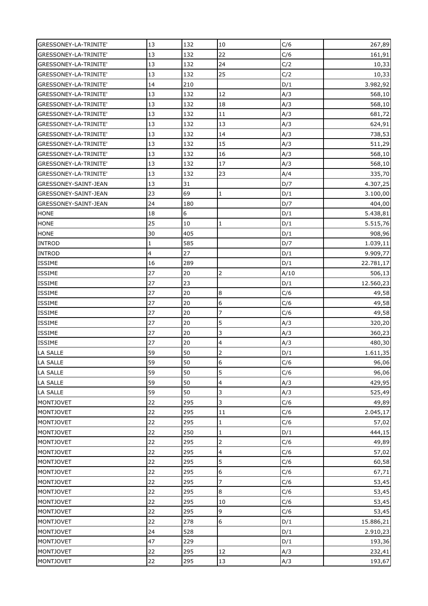| GRESSONEY-LA-TRINITE' | 13                      | 132 | 10               | C/6  | 267,89    |
|-----------------------|-------------------------|-----|------------------|------|-----------|
| GRESSONEY-LA-TRINITE' | 13                      | 132 | 22               | C/6  | 161,91    |
| GRESSONEY-LA-TRINITE' | 13                      | 132 | 24               | C/2  | 10,33     |
| GRESSONEY-LA-TRINITE' | 13                      | 132 | 25               | C/2  | 10,33     |
| GRESSONEY-LA-TRINITE' | 14                      | 210 |                  | D/1  | 3.982,92  |
| GRESSONEY-LA-TRINITE' | 13                      | 132 | 12               | A/3  | 568,10    |
| GRESSONEY-LA-TRINITE' | 13                      | 132 | 18               | A/3  |           |
|                       | 13                      | 132 | 11               |      | 568,10    |
| GRESSONEY-LA-TRINITE' |                         |     |                  | A/3  | 681,72    |
| GRESSONEY-LA-TRINITE' | 13                      | 132 | 13               | A/3  | 624,91    |
| GRESSONEY-LA-TRINITE' | 13                      | 132 | 14               | A/3  | 738,53    |
| GRESSONEY-LA-TRINITE' | 13                      | 132 | 15               | A/3  | 511,29    |
| GRESSONEY-LA-TRINITE' | 13                      | 132 | 16               | A/3  | 568,10    |
| GRESSONEY-LA-TRINITE' | 13                      | 132 | 17               | A/3  | 568,10    |
| GRESSONEY-LA-TRINITE' | 13                      | 132 | 23               | A/4  | 335,70    |
| GRESSONEY-SAINT-JEAN  | 13                      | 31  |                  | D/7  | 4.307,25  |
| GRESSONEY-SAINT-JEAN  | 23                      | 69  | 1                | D/1  | 3.100,00  |
| GRESSONEY-SAINT-JEAN  | 24                      | 180 |                  | D/7  | 404,00    |
| <b>HONE</b>           | 18                      | 6   |                  | D/1  | 5.438,81  |
| <b>HONE</b>           | 25                      | 10  | 1                | D/1  | 5.515,76  |
| <b>HONE</b>           | 30                      | 405 |                  | D/1  | 908,96    |
| <b>INTROD</b>         | $\mathbf{1}$            | 585 |                  | D/7  | 1.039,11  |
| <b>INTROD</b>         | $\overline{\mathbf{4}}$ | 27  |                  | D/1  | 9.909,77  |
| <b>ISSIME</b>         | 16                      | 289 |                  | D/1  | 22.781,17 |
| <b>ISSIME</b>         | 27                      | 20  | 2                | A/10 | 506,13    |
| <b>ISSIME</b>         | 27                      | 23  |                  | D/1  | 12.560,23 |
| <b>ISSIME</b>         | 27                      | 20  | 8                | C/6  | 49,58     |
| <b>ISSIME</b>         | 27                      | 20  | $6\overline{6}$  | C/6  | 49,58     |
| <b>ISSIME</b>         | 27                      | 20  | $\overline{7}$   | C/6  | 49,58     |
| <b>ISSIME</b>         | 27                      | 20  | 5                | A/3  | 320,20    |
| <b>ISSIME</b>         | 27                      | 20  | 3                | A/3  | 360,23    |
| <b>ISSIME</b>         | 27                      | 20  | 4                | A/3  | 480,30    |
| <b>LA SALLE</b>       | 59                      | 50  | 2                | D/1  | 1.611,35  |
| LA SALLE              | 59                      | 50  | $\boldsymbol{6}$ | C/6  | 96,06     |
| <b>LA SALLE</b>       | 59                      | 50  | 5                | C/6  | 96,06     |
| <b>LA SALLE</b>       | 59                      | 50  | 4                | A/3  | 429,95    |
| <b>LA SALLE</b>       | 59                      | 50  | 3                | A/3  | 525,49    |
| <b>MONTJOVET</b>      | 22                      | 295 | 3                | C/6  | 49,89     |
| <b>MONTJOVET</b>      | 22                      | 295 | 11               | C/6  | 2.045,17  |
| <b>MONTJOVET</b>      | 22                      | 295 | $\mathbf{1}$     | C/6  | 57,02     |
| <b>MONTJOVET</b>      | 22                      | 250 | 1                | D/1  | 444,15    |
| <b>MONTJOVET</b>      | 22                      | 295 | 2                | C/6  | 49,89     |
| <b>MONTJOVET</b>      | 22                      | 295 | 4                | C/6  | 57,02     |
| <b>MONTJOVET</b>      | 22                      | 295 | 5                | C/6  | 60,58     |
| <b>MONTJOVET</b>      | 22                      | 295 | 6                | C/6  | 67,71     |
| <b>MONTJOVET</b>      | 22                      | 295 | 7                | C/6  | 53,45     |
| <b>MONTJOVET</b>      | 22                      | 295 | 8                | C/6  | 53,45     |
| <b>MONTJOVET</b>      | 22                      | 295 | 10               | C/6  | 53,45     |
| <b>MONTJOVET</b>      | 22                      | 295 | 9                | C/6  | 53,45     |
| <b>MONTJOVET</b>      | 22                      | 278 | 6                | D/1  | 15.886,21 |
| <b>MONTJOVET</b>      | 24                      | 528 |                  | D/1  | 2.910,23  |
| <b>MONTJOVET</b>      | 47                      | 229 |                  | D/1  | 193,36    |
| <b>MONTJOVET</b>      | 22                      | 295 | 12               | A/3  | 232,41    |
|                       | 22                      | 295 | 13               |      |           |
| <b>MONTJOVET</b>      |                         |     |                  | A/3  | 193,67    |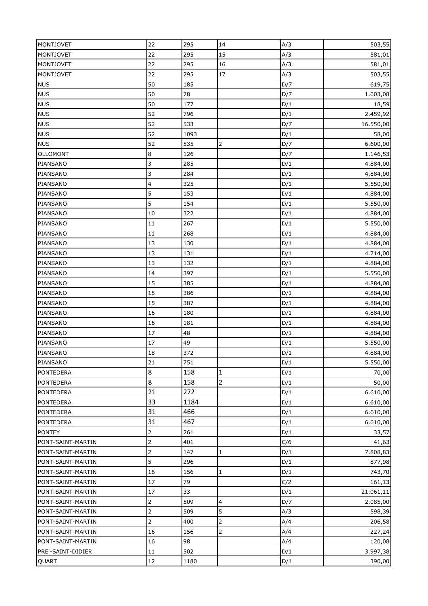| <b>MONTJOVET</b>  | 22             | 295  | 14                      | A/3 | 503,55    |
|-------------------|----------------|------|-------------------------|-----|-----------|
| <b>MONTJOVET</b>  | 22             | 295  | 15                      | A/3 | 581,01    |
| <b>MONTJOVET</b>  | 22             | 295  | 16                      | A/3 | 581,01    |
| <b>MONTJOVET</b>  | 22             | 295  | $17\,$                  | A/3 | 503,55    |
| <b>NUS</b>        | 50             | 185  |                         | D/7 | 619,75    |
| <b>NUS</b>        | 50             | 78   |                         | D/7 | 1.603,08  |
| <b>NUS</b>        | 50             | 177  |                         | D/1 | 18,59     |
| <b>NUS</b>        | 52             | 796  |                         | D/1 | 2.459,92  |
| <b>NUS</b>        | 52             | 533  |                         | D/7 | 16.550,00 |
| <b>NUS</b>        | 52             | 1093 |                         | D/1 | 58,00     |
| <b>NUS</b>        | 52             | 535  | $\overline{2}$          | D/7 | 6.600,00  |
| <b>OLLOMONT</b>   | 8              | 126  |                         | D/7 | 1.146,53  |
| PIANSANO          | 3              | 285  |                         | D/1 | 4.884,00  |
| PIANSANO          | 3              | 284  |                         | D/1 | 4.884,00  |
| PIANSANO          | 4              | 325  |                         | D/1 | 5.550,00  |
| PIANSANO          | 5              | 153  |                         | D/1 | 4.884,00  |
| PIANSANO          | 5              | 154  |                         | D/1 | 5.550,00  |
| PIANSANO          | 10             | 322  |                         | D/1 | 4.884,00  |
| PIANSANO          | 11             | 267  |                         | D/1 | 5.550,00  |
| PIANSANO          | 11             | 268  |                         | D/1 | 4.884,00  |
| PIANSANO          | 13             | 130  |                         | D/1 | 4.884,00  |
| PIANSANO          | 13             | 131  |                         | D/1 | 4.714,00  |
| PIANSANO          | 13             | 132  |                         | D/1 | 4.884,00  |
| PIANSANO          | 14             | 397  |                         | D/1 | 5.550,00  |
| PIANSANO          | 15             | 385  |                         | D/1 | 4.884,00  |
| PIANSANO          | 15             | 386  |                         | D/1 | 4.884,00  |
| PIANSANO          | 15             | 387  |                         | D/1 | 4.884,00  |
| PIANSANO          | 16             | 180  |                         | D/1 | 4.884,00  |
| PIANSANO          | 16             | 181  |                         | D/1 | 4.884,00  |
| PIANSANO          | 17             | 48   |                         | D/1 | 4.884,00  |
| PIANSANO          | 17             | 49   |                         | D/1 | 5.550,00  |
| PIANSANO          | 18             | 372  |                         | D/1 | 4.884,00  |
| PIANSANO          | 21             | 751  |                         | D/1 | 5.550,00  |
| <b>PONTEDERA</b>  | 8              | 158  | 1                       | D/1 | 70,00     |
| <b>PONTEDERA</b>  | 8              | 158  | $\overline{2}$          | D/1 | 50,00     |
| <b>PONTEDERA</b>  | 21             | 272  |                         | D/1 | 6.610,00  |
| <b>PONTEDERA</b>  | 33             | 1184 |                         | D/1 | 6.610,00  |
| <b>PONTEDERA</b>  | 31             | 466  |                         | D/1 | 6.610,00  |
| <b>PONTEDERA</b>  | 31             | 467  |                         | D/1 | 6.610,00  |
| <b>PONTEY</b>     | 2              | 261  |                         | D/1 | 33,57     |
| PONT-SAINT-MARTIN | $\overline{2}$ | 401  |                         | C/6 | 41,63     |
| PONT-SAINT-MARTIN | $\overline{c}$ | 147  | 1                       | D/1 | 7.808,83  |
| PONT-SAINT-MARTIN | 5              | 296  |                         | D/1 | 877,98    |
| PONT-SAINT-MARTIN | 16             | 156  | 1                       | D/1 | 743,70    |
| PONT-SAINT-MARTIN | 17             | 79   |                         | C/2 | 161,13    |
| PONT-SAINT-MARTIN | 17             | 33   |                         | D/1 | 21.061,11 |
| PONT-SAINT-MARTIN | $\overline{2}$ | 509  | $\overline{\mathbf{4}}$ | D/7 | 2.085,00  |
| PONT-SAINT-MARTIN | $\overline{c}$ | 509  | 5                       | A/3 | 598,39    |
| PONT-SAINT-MARTIN | $\overline{2}$ | 400  | 2                       | A/4 | 206,58    |
| PONT-SAINT-MARTIN | 16             | 156  | 2                       | A/4 | 227,24    |
| PONT-SAINT-MARTIN | 16             | 98   |                         | A/4 | 120,08    |
| PRE'-SAINT-DIDIER | 11             | 502  |                         | D/1 | 3.997,38  |
| QUART             | 12             | 1180 |                         | D/1 | 390,00    |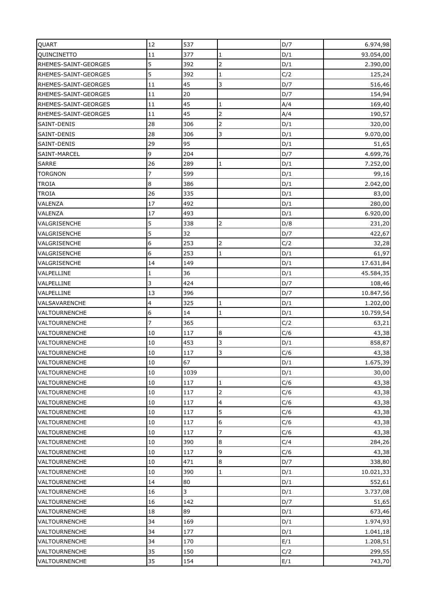| QUART                | 12             | 537  |                | D/7        | 6.974,98  |
|----------------------|----------------|------|----------------|------------|-----------|
| QUINCINETTO          | 11             | 377  | 1              | D/1        | 93.054,00 |
| RHEMES-SAINT-GEORGES | 5              | 392  | $\overline{2}$ | D/1        | 2.390,00  |
| RHEMES-SAINT-GEORGES | 5              | 392  | $\mathbf{1}$   | C/2        | 125,24    |
| RHEMES-SAINT-GEORGES | 11             | 45   | 3              | D/7        | 516,46    |
| RHEMES-SAINT-GEORGES | 11             | 20   |                | D/7        | 154,94    |
| RHEMES-SAINT-GEORGES | 11             | 45   | 1              | A/4        | 169,40    |
| RHEMES-SAINT-GEORGES | 11             | 45   | 2              | A/4        | 190,57    |
| SAINT-DENIS          | 28             | 306  |                | D/1        | 320,00    |
| SAINT-DENIS          | 28             | 306  | 3              |            |           |
| SAINT-DENIS          | 29             | 95   |                | D/1<br>D/1 | 9.070,00  |
|                      | 9              | 204  |                |            | 51,65     |
| SAINT-MARCEL         |                |      |                | D/7        | 4.699,76  |
| <b>SARRE</b>         | 26             | 289  | $\mathbf{1}$   | D/1        | 7.252,00  |
| <b>TORGNON</b>       | 7              | 599  |                | D/1        | 99,16     |
| <b>TROIA</b>         | 8              | 386  |                | D/1        | 2.042,00  |
| <b>TROIA</b>         | 26             | 335  |                | D/1        | 83,00     |
| VALENZA              | 17             | 492  |                | D/1        | 280,00    |
| <b>VALENZA</b>       | 17             | 493  |                | D/1        | 6.920,00  |
| VALGRISENCHE         | 5              | 338  | $\overline{2}$ | D/8        | 231,20    |
| VALGRISENCHE         | 5              | 32   |                | D/7        | 422,67    |
| VALGRISENCHE         | 6              | 253  | $\overline{2}$ | C/2        | 32,28     |
| VALGRISENCHE         | 6              | 253  | $\mathbf{1}$   | D/1        | 61,97     |
| VALGRISENCHE         | 14             | 149  |                | D/1        | 17.631,84 |
| VALPELLINE           | $\mathbf{1}$   | 36   |                | D/1        | 45.584,35 |
| VALPELLINE           | 3              | 424  |                | D/7        | 108,46    |
| VALPELLINE           | 13             | 396  |                | D/7        | 10.847,56 |
| VALSAVARENCHE        | 4              | 325  | 1              | D/1        | 1.202,00  |
| VALTOURNENCHE        | 6              | 14   | $\mathbf{1}$   | D/1        | 10.759,54 |
| <b>VALTOURNENCHE</b> | $\overline{7}$ | 365  |                | C/2        | 63,21     |
| <b>VALTOURNENCHE</b> | 10             | 117  | $\bf 8$        | C/6        | 43,38     |
| VALTOURNENCHE        | 10             | 453  | 3              | D/1        | 858,87    |
| <b>VALTOURNENCHE</b> | 10             | 117  | 3              | C/6        | 43,38     |
| VALTOURNENCHE        | 10             | 67   |                | D/1        | 1.675,39  |
| <b>VALTOURNENCHE</b> | 10             | 1039 |                | D/1        | 30,00     |
| <b>VALTOURNENCHE</b> | 10             | 117  | $\mathbf{1}$   | C/6        | 43,38     |
| <b>VALTOURNENCHE</b> | 10             | 117  | 2              | C/6        | 43,38     |
| <b>VALTOURNENCHE</b> | 10             | 117  | 4              | C/6        | 43,38     |
| <b>VALTOURNENCHE</b> | 10             | 117  | 5              | C/6        | 43,38     |
| <b>VALTOURNENCHE</b> | 10             | 117  | 6              | C/6        | 43,38     |
| <b>VALTOURNENCHE</b> | 10             | 117  | 7              | C/6        | 43,38     |
| <b>VALTOURNENCHE</b> | 10             | 390  | $\bf{8}$       | C/4        | 284,26    |
| <b>VALTOURNENCHE</b> | 10             | 117  | 9              | C/6        | 43,38     |
| <b>VALTOURNENCHE</b> | 10             | 471  | $\bf{8}$       | D/7        | 338,80    |
| <b>VALTOURNENCHE</b> | 10             | 390  | $\mathbf{1}$   | D/1        | 10.021,33 |
| <b>VALTOURNENCHE</b> | 14             | 80   |                | D/1        | 552,61    |
| <b>VALTOURNENCHE</b> | 16             | 3    |                | D/1        | 3.737,08  |
| <b>VALTOURNENCHE</b> | 16             | 142  |                | D/7        | 51,65     |
| <b>VALTOURNENCHE</b> | 18             | 89   |                | D/1        | 673,46    |
| VALTOURNENCHE        | 34             | 169  |                | D/1        | 1.974,93  |
| <b>VALTOURNENCHE</b> | 34             | 177  |                | D/1        | 1.041,18  |
| <b>VALTOURNENCHE</b> | 34             | 170  |                | E/1        | 1.208,51  |
| <b>VALTOURNENCHE</b> | 35             | 150  |                | C/2        | 299,55    |
| <b>VALTOURNENCHE</b> | 35             | 154  |                | E/1        | 743,70    |
|                      |                |      |                |            |           |